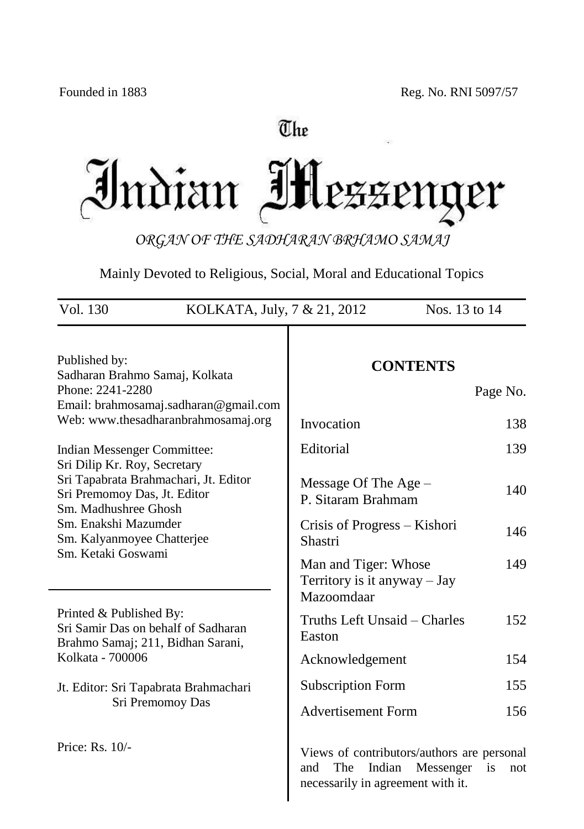# The

Indian Mezzeng er

*ORGAN OF THE SADHARAN BRHAMO SAMAJ*

Mainly Devoted to Religious, Social, Moral and Educational Topics

| Vol. 130<br>KOLKATA, July, 7 & 21, 2012<br>Nos. 13 to 14                                                     |                                                                                                                                   |  |  |  |
|--------------------------------------------------------------------------------------------------------------|-----------------------------------------------------------------------------------------------------------------------------------|--|--|--|
| Published by:<br>Sadharan Brahmo Samaj, Kolkata<br>Phone: 2241-2280<br>Email: brahmosamaj.sadharan@gmail.com | <b>CONTENTS</b><br>Page No.                                                                                                       |  |  |  |
| Web: www.thesadharanbrahmosamaj.org                                                                          | Invocation<br>138                                                                                                                 |  |  |  |
| <b>Indian Messenger Committee:</b><br>Sri Dilip Kr. Roy, Secretary                                           | Editorial<br>139                                                                                                                  |  |  |  |
| Sri Tapabrata Brahmachari, Jt. Editor<br>Sri Premomoy Das, Jt. Editor<br>Sm. Madhushree Ghosh                | Message Of The Age -<br>140<br>P. Sitaram Brahmam                                                                                 |  |  |  |
| Sm. Enakshi Mazumder<br>Sm. Kalyanmoyee Chatterjee                                                           | Crisis of Progress - Kishori<br>146<br>Shastri                                                                                    |  |  |  |
| Sm. Ketaki Goswami                                                                                           | Man and Tiger: Whose<br>149<br>Territory is it anyway - Jay<br>Mazoomdaar                                                         |  |  |  |
| Printed & Published By:<br>Sri Samir Das on behalf of Sadharan<br>Brahmo Samaj; 211, Bidhan Sarani,          | Truths Left Unsaid – Charles<br>152<br>Easton                                                                                     |  |  |  |
| Kolkata - 700006                                                                                             | 154<br>Acknowledgement                                                                                                            |  |  |  |
| Jt. Editor: Sri Tapabrata Brahmachari                                                                        | 155<br><b>Subscription Form</b>                                                                                                   |  |  |  |
| Sri Premomoy Das                                                                                             | <b>Advertisement Form</b><br>156                                                                                                  |  |  |  |
| Price: Rs. 10/-                                                                                              | Views of contributors/authors are personal<br>The<br>Indian<br>Messenger<br>and<br>is<br>not<br>necessarily in agreement with it. |  |  |  |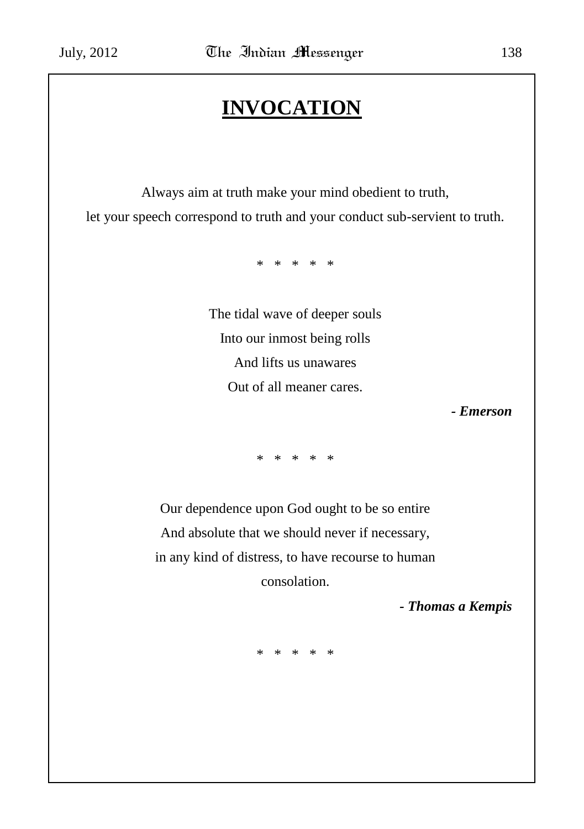# **INVOCATION**

Always aim at truth make your mind obedient to truth, let your speech correspond to truth and your conduct sub-servient to truth.

\* \* \* \* \*

The tidal wave of deeper souls Into our inmost being rolls And lifts us unawares Out of all meaner cares.

*- Emerson*

\* \* \* \* \*

Our dependence upon God ought to be so entire And absolute that we should never if necessary, in any kind of distress, to have recourse to human consolation.

*- Thomas a Kempis*

\* \* \* \* \*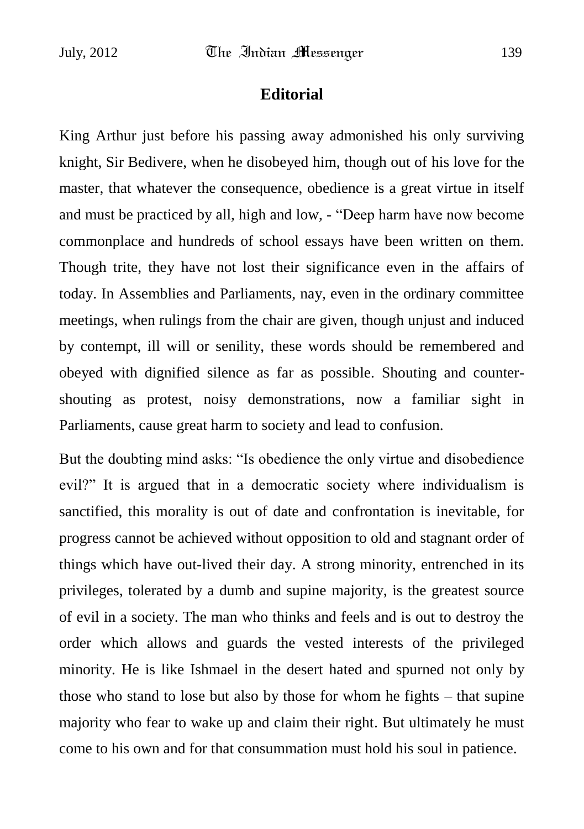### **Editorial**

King Arthur just before his passing away admonished his only surviving knight, Sir Bedivere, when he disobeyed him, though out of his love for the master, that whatever the consequence, obedience is a great virtue in itself and must be practiced by all, high and low, - "Deep harm have now become commonplace and hundreds of school essays have been written on them. Though trite, they have not lost their significance even in the affairs of today. In Assemblies and Parliaments, nay, even in the ordinary committee meetings, when rulings from the chair are given, though unjust and induced by contempt, ill will or senility, these words should be remembered and obeyed with dignified silence as far as possible. Shouting and countershouting as protest, noisy demonstrations, now a familiar sight in Parliaments, cause great harm to society and lead to confusion.

But the doubting mind asks: "Is obedience the only virtue and disobedience evil?" It is argued that in a democratic society where individualism is sanctified, this morality is out of date and confrontation is inevitable, for progress cannot be achieved without opposition to old and stagnant order of things which have out-lived their day. A strong minority, entrenched in its privileges, tolerated by a dumb and supine majority, is the greatest source of evil in a society. The man who thinks and feels and is out to destroy the order which allows and guards the vested interests of the privileged minority. He is like Ishmael in the desert hated and spurned not only by those who stand to lose but also by those for whom he fights – that supine majority who fear to wake up and claim their right. But ultimately he must come to his own and for that consummation must hold his soul in patience.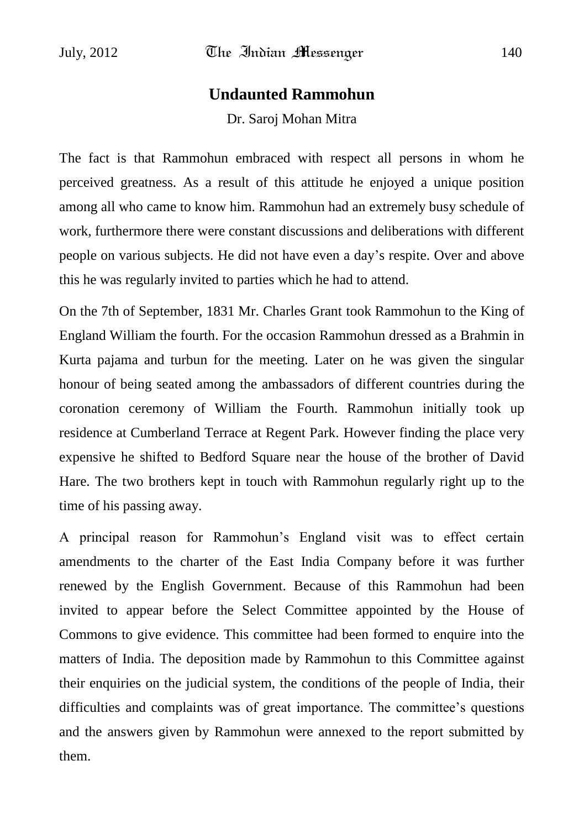## **Undaunted Rammohun**

Dr. Saroj Mohan Mitra

The fact is that Rammohun embraced with respect all persons in whom he perceived greatness. As a result of this attitude he enjoyed a unique position among all who came to know him. Rammohun had an extremely busy schedule of work, furthermore there were constant discussions and deliberations with different people on various subjects. He did not have even a day"s respite. Over and above this he was regularly invited to parties which he had to attend.

On the 7th of September, 1831 Mr. Charles Grant took Rammohun to the King of England William the fourth. For the occasion Rammohun dressed as a Brahmin in Kurta pajama and turbun for the meeting. Later on he was given the singular honour of being seated among the ambassadors of different countries during the coronation ceremony of William the Fourth. Rammohun initially took up residence at Cumberland Terrace at Regent Park. However finding the place very expensive he shifted to Bedford Square near the house of the brother of David Hare. The two brothers kept in touch with Rammohun regularly right up to the time of his passing away.

A principal reason for Rammohun"s England visit was to effect certain amendments to the charter of the East India Company before it was further renewed by the English Government. Because of this Rammohun had been invited to appear before the Select Committee appointed by the House of Commons to give evidence. This committee had been formed to enquire into the matters of India. The deposition made by Rammohun to this Committee against their enquiries on the judicial system, the conditions of the people of India, their difficulties and complaints was of great importance. The committee"s questions and the answers given by Rammohun were annexed to the report submitted by them.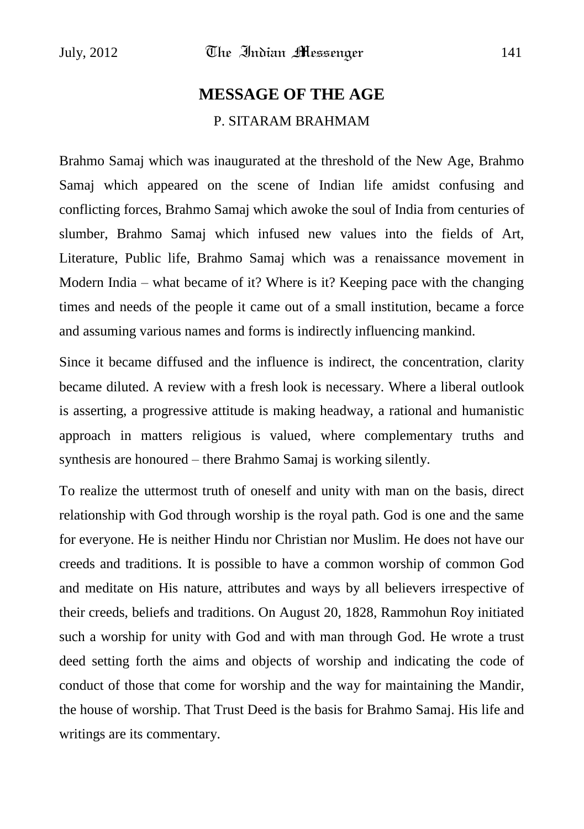# **MESSAGE OF THE AGE** P. SITARAM BRAHMAM

Brahmo Samaj which was inaugurated at the threshold of the New Age, Brahmo Samaj which appeared on the scene of Indian life amidst confusing and conflicting forces, Brahmo Samaj which awoke the soul of India from centuries of slumber, Brahmo Samaj which infused new values into the fields of Art, Literature, Public life, Brahmo Samaj which was a renaissance movement in Modern India – what became of it? Where is it? Keeping pace with the changing times and needs of the people it came out of a small institution, became a force and assuming various names and forms is indirectly influencing mankind.

Since it became diffused and the influence is indirect, the concentration, clarity became diluted. A review with a fresh look is necessary. Where a liberal outlook is asserting, a progressive attitude is making headway, a rational and humanistic approach in matters religious is valued, where complementary truths and synthesis are honoured – there Brahmo Samaj is working silently.

To realize the uttermost truth of oneself and unity with man on the basis, direct relationship with God through worship is the royal path. God is one and the same for everyone. He is neither Hindu nor Christian nor Muslim. He does not have our creeds and traditions. It is possible to have a common worship of common God and meditate on His nature, attributes and ways by all believers irrespective of their creeds, beliefs and traditions. On August 20, 1828, Rammohun Roy initiated such a worship for unity with God and with man through God. He wrote a trust deed setting forth the aims and objects of worship and indicating the code of conduct of those that come for worship and the way for maintaining the Mandir, the house of worship. That Trust Deed is the basis for Brahmo Samaj. His life and writings are its commentary.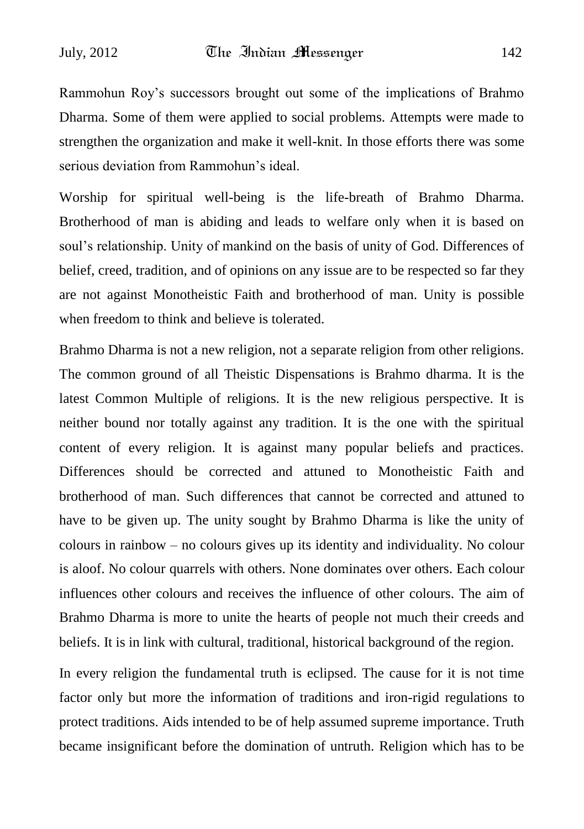Rammohun Roy"s successors brought out some of the implications of Brahmo Dharma. Some of them were applied to social problems. Attempts were made to strengthen the organization and make it well-knit. In those efforts there was some serious deviation from Rammohun's ideal.

Worship for spiritual well-being is the life-breath of Brahmo Dharma. Brotherhood of man is abiding and leads to welfare only when it is based on soul"s relationship. Unity of mankind on the basis of unity of God. Differences of belief, creed, tradition, and of opinions on any issue are to be respected so far they are not against Monotheistic Faith and brotherhood of man. Unity is possible when freedom to think and believe is tolerated.

Brahmo Dharma is not a new religion, not a separate religion from other religions. The common ground of all Theistic Dispensations is Brahmo dharma. It is the latest Common Multiple of religions. It is the new religious perspective. It is neither bound nor totally against any tradition. It is the one with the spiritual content of every religion. It is against many popular beliefs and practices. Differences should be corrected and attuned to Monotheistic Faith and brotherhood of man. Such differences that cannot be corrected and attuned to have to be given up. The unity sought by Brahmo Dharma is like the unity of colours in rainbow – no colours gives up its identity and individuality. No colour is aloof. No colour quarrels with others. None dominates over others. Each colour influences other colours and receives the influence of other colours. The aim of Brahmo Dharma is more to unite the hearts of people not much their creeds and beliefs. It is in link with cultural, traditional, historical background of the region.

In every religion the fundamental truth is eclipsed. The cause for it is not time factor only but more the information of traditions and iron-rigid regulations to protect traditions. Aids intended to be of help assumed supreme importance. Truth became insignificant before the domination of untruth. Religion which has to be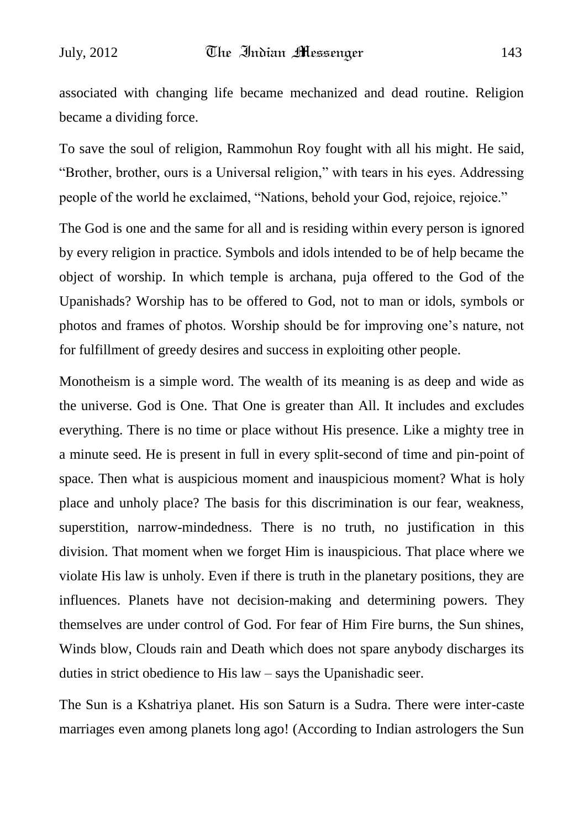associated with changing life became mechanized and dead routine. Religion became a dividing force.

To save the soul of religion, Rammohun Roy fought with all his might. He said, "Brother, brother, ours is a Universal religion," with tears in his eyes. Addressing people of the world he exclaimed, "Nations, behold your God, rejoice, rejoice."

The God is one and the same for all and is residing within every person is ignored by every religion in practice. Symbols and idols intended to be of help became the object of worship. In which temple is archana, puja offered to the God of the Upanishads? Worship has to be offered to God, not to man or idols, symbols or photos and frames of photos. Worship should be for improving one"s nature, not for fulfillment of greedy desires and success in exploiting other people.

Monotheism is a simple word. The wealth of its meaning is as deep and wide as the universe. God is One. That One is greater than All. It includes and excludes everything. There is no time or place without His presence. Like a mighty tree in a minute seed. He is present in full in every split-second of time and pin-point of space. Then what is auspicious moment and inauspicious moment? What is holy place and unholy place? The basis for this discrimination is our fear, weakness, superstition, narrow-mindedness. There is no truth, no justification in this division. That moment when we forget Him is inauspicious. That place where we violate His law is unholy. Even if there is truth in the planetary positions, they are influences. Planets have not decision-making and determining powers. They themselves are under control of God. For fear of Him Fire burns, the Sun shines, Winds blow, Clouds rain and Death which does not spare anybody discharges its duties in strict obedience to His law – says the Upanishadic seer.

The Sun is a Kshatriya planet. His son Saturn is a Sudra. There were inter-caste marriages even among planets long ago! (According to Indian astrologers the Sun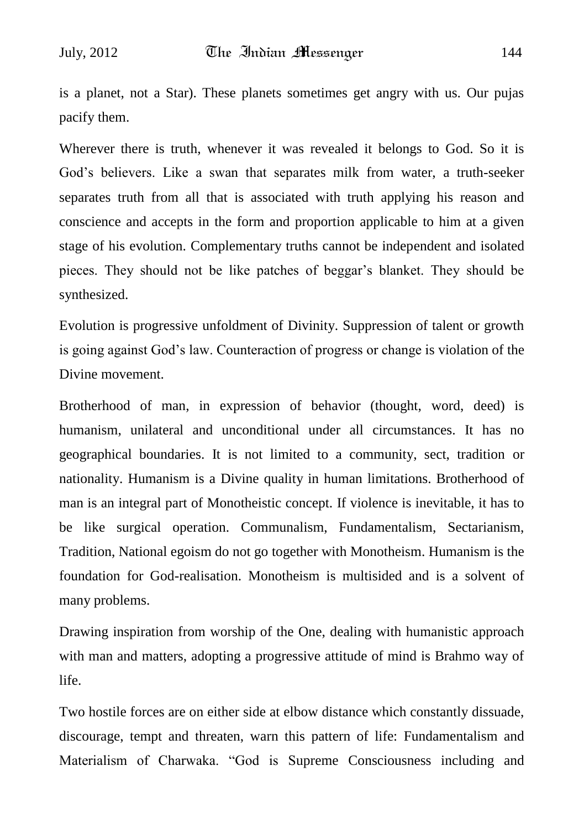is a planet, not a Star). These planets sometimes get angry with us. Our pujas pacify them.

Wherever there is truth, whenever it was revealed it belongs to God. So it is God"s believers. Like a swan that separates milk from water, a truth-seeker separates truth from all that is associated with truth applying his reason and conscience and accepts in the form and proportion applicable to him at a given stage of his evolution. Complementary truths cannot be independent and isolated pieces. They should not be like patches of beggar"s blanket. They should be synthesized.

Evolution is progressive unfoldment of Divinity. Suppression of talent or growth is going against God"s law. Counteraction of progress or change is violation of the Divine movement.

Brotherhood of man, in expression of behavior (thought, word, deed) is humanism, unilateral and unconditional under all circumstances. It has no geographical boundaries. It is not limited to a community, sect, tradition or nationality. Humanism is a Divine quality in human limitations. Brotherhood of man is an integral part of Monotheistic concept. If violence is inevitable, it has to be like surgical operation. Communalism, Fundamentalism, Sectarianism, Tradition, National egoism do not go together with Monotheism. Humanism is the foundation for God-realisation. Monotheism is multisided and is a solvent of many problems.

Drawing inspiration from worship of the One, dealing with humanistic approach with man and matters, adopting a progressive attitude of mind is Brahmo way of life.

Two hostile forces are on either side at elbow distance which constantly dissuade, discourage, tempt and threaten, warn this pattern of life: Fundamentalism and Materialism of Charwaka. "God is Supreme Consciousness including and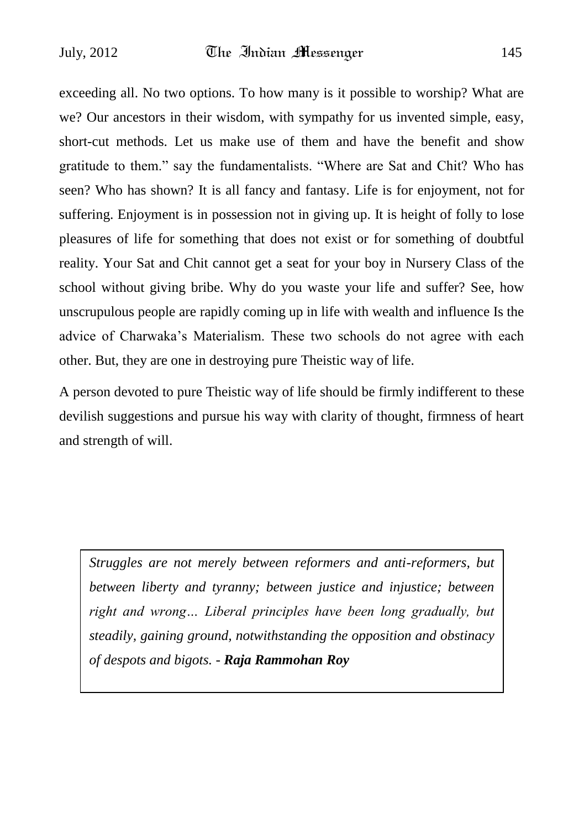exceeding all. No two options. To how many is it possible to worship? What are we? Our ancestors in their wisdom, with sympathy for us invented simple, easy, short-cut methods. Let us make use of them and have the benefit and show gratitude to them." say the fundamentalists. "Where are Sat and Chit? Who has seen? Who has shown? It is all fancy and fantasy. Life is for enjoyment, not for suffering. Enjoyment is in possession not in giving up. It is height of folly to lose pleasures of life for something that does not exist or for something of doubtful reality. Your Sat and Chit cannot get a seat for your boy in Nursery Class of the school without giving bribe. Why do you waste your life and suffer? See, how unscrupulous people are rapidly coming up in life with wealth and influence Is the advice of Charwaka"s Materialism. These two schools do not agree with each other. But, they are one in destroying pure Theistic way of life.

A person devoted to pure Theistic way of life should be firmly indifferent to these devilish suggestions and pursue his way with clarity of thought, firmness of heart and strength of will.

*Struggles are not merely between reformers and anti-reformers, but between liberty and tyranny; between justice and injustice; between right and wrong… Liberal principles have been long gradually, but steadily, gaining ground, notwithstanding the opposition and obstinacy of despots and bigots. - Raja Rammohan Roy*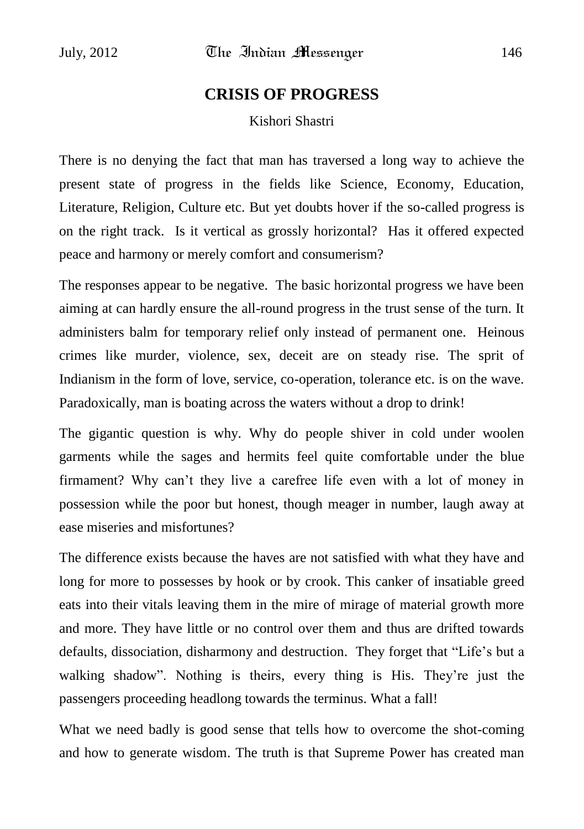## **CRISIS OF PROGRESS**

### Kishori Shastri

There is no denying the fact that man has traversed a long way to achieve the present state of progress in the fields like Science, Economy, Education, Literature, Religion, Culture etc. But yet doubts hover if the so-called progress is on the right track. Is it vertical as grossly horizontal? Has it offered expected peace and harmony or merely comfort and consumerism?

The responses appear to be negative. The basic horizontal progress we have been aiming at can hardly ensure the all-round progress in the trust sense of the turn. It administers balm for temporary relief only instead of permanent one. Heinous crimes like murder, violence, sex, deceit are on steady rise. The sprit of Indianism in the form of love, service, co-operation, tolerance etc. is on the wave. Paradoxically, man is boating across the waters without a drop to drink!

The gigantic question is why. Why do people shiver in cold under woolen garments while the sages and hermits feel quite comfortable under the blue firmament? Why can"t they live a carefree life even with a lot of money in possession while the poor but honest, though meager in number, laugh away at ease miseries and misfortunes?

The difference exists because the haves are not satisfied with what they have and long for more to possesses by hook or by crook. This canker of insatiable greed eats into their vitals leaving them in the mire of mirage of material growth more and more. They have little or no control over them and thus are drifted towards defaults, dissociation, disharmony and destruction. They forget that "Life"s but a walking shadow". Nothing is theirs, every thing is His. They"re just the passengers proceeding headlong towards the terminus. What a fall!

What we need badly is good sense that tells how to overcome the shot-coming and how to generate wisdom. The truth is that Supreme Power has created man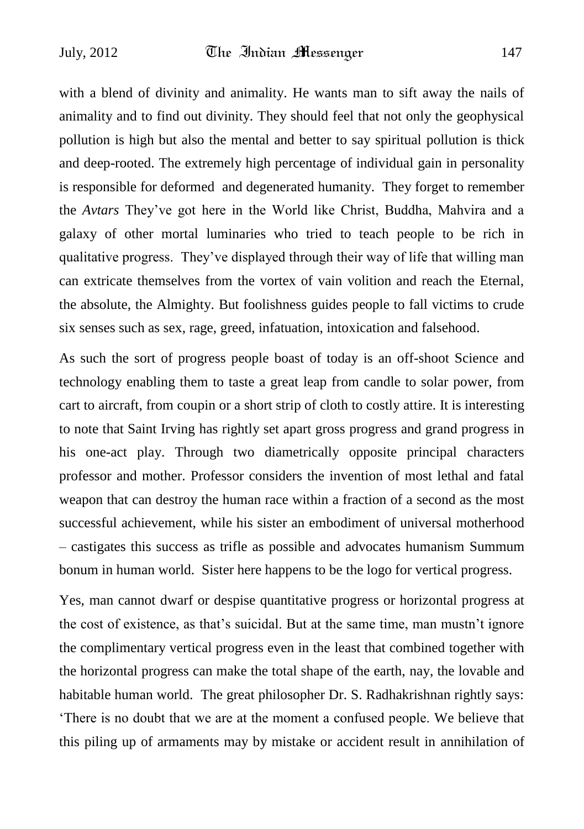with a blend of divinity and animality. He wants man to sift away the nails of animality and to find out divinity. They should feel that not only the geophysical pollution is high but also the mental and better to say spiritual pollution is thick and deep-rooted. The extremely high percentage of individual gain in personality is responsible for deformed and degenerated humanity. They forget to remember the *Avtars* They"ve got here in the World like Christ, Buddha, Mahvira and a galaxy of other mortal luminaries who tried to teach people to be rich in qualitative progress. They"ve displayed through their way of life that willing man can extricate themselves from the vortex of vain volition and reach the Eternal, the absolute, the Almighty. But foolishness guides people to fall victims to crude six senses such as sex, rage, greed, infatuation, intoxication and falsehood.

As such the sort of progress people boast of today is an off-shoot Science and technology enabling them to taste a great leap from candle to solar power, from cart to aircraft, from coupin or a short strip of cloth to costly attire. It is interesting to note that Saint Irving has rightly set apart gross progress and grand progress in his one-act play. Through two diametrically opposite principal characters professor and mother. Professor considers the invention of most lethal and fatal weapon that can destroy the human race within a fraction of a second as the most successful achievement, while his sister an embodiment of universal motherhood – castigates this success as trifle as possible and advocates humanism Summum bonum in human world. Sister here happens to be the logo for vertical progress.

Yes, man cannot dwarf or despise quantitative progress or horizontal progress at the cost of existence, as that's suicidal. But at the same time, man mustn't ignore the complimentary vertical progress even in the least that combined together with the horizontal progress can make the total shape of the earth, nay, the lovable and habitable human world. The great philosopher Dr. S. Radhakrishnan rightly says: "There is no doubt that we are at the moment a confused people. We believe that this piling up of armaments may by mistake or accident result in annihilation of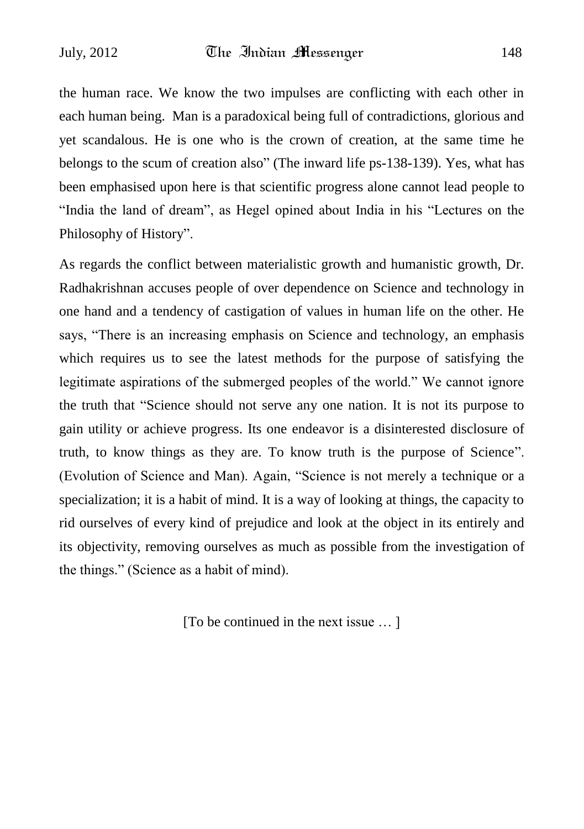the human race. We know the two impulses are conflicting with each other in each human being. Man is a paradoxical being full of contradictions, glorious and yet scandalous. He is one who is the crown of creation, at the same time he belongs to the scum of creation also" (The inward life ps-138-139). Yes, what has been emphasised upon here is that scientific progress alone cannot lead people to "India the land of dream", as Hegel opined about India in his "Lectures on the Philosophy of History".

As regards the conflict between materialistic growth and humanistic growth, Dr. Radhakrishnan accuses people of over dependence on Science and technology in one hand and a tendency of castigation of values in human life on the other. He says, "There is an increasing emphasis on Science and technology, an emphasis which requires us to see the latest methods for the purpose of satisfying the legitimate aspirations of the submerged peoples of the world." We cannot ignore the truth that "Science should not serve any one nation. It is not its purpose to gain utility or achieve progress. Its one endeavor is a disinterested disclosure of truth, to know things as they are. To know truth is the purpose of Science". (Evolution of Science and Man). Again, "Science is not merely a technique or a specialization; it is a habit of mind. It is a way of looking at things, the capacity to rid ourselves of every kind of prejudice and look at the object in its entirely and its objectivity, removing ourselves as much as possible from the investigation of the things." (Science as a habit of mind).

[To be continued in the next issue … ]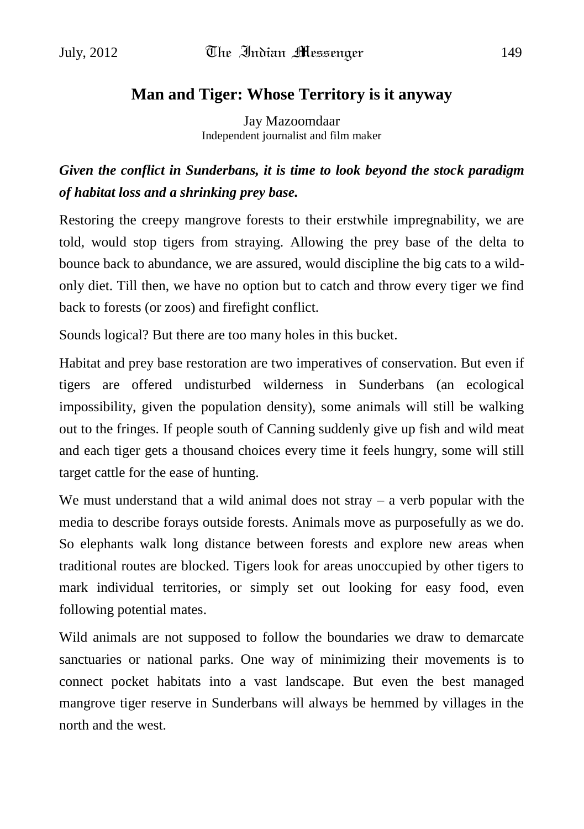### **Man and Tiger: Whose Territory is it anyway**

Jay Mazoomdaar Independent journalist and film maker

## *Given the conflict in Sunderbans, it is time to look beyond the stock paradigm of habitat loss and a shrinking prey base.*

Restoring the creepy mangrove forests to their erstwhile impregnability, we are told, would stop tigers from straying. Allowing the prey base of the delta to bounce back to abundance, we are assured, would discipline the big cats to a wildonly diet. Till then, we have no option but to catch and throw every tiger we find back to forests (or zoos) and firefight conflict.

Sounds logical? But there are too many holes in this bucket.

Habitat and prey base restoration are two imperatives of conservation. But even if tigers are offered undisturbed wilderness in Sunderbans (an ecological impossibility, given the population density), some animals will still be walking out to the fringes. If people south of Canning suddenly give up fish and wild meat and each tiger gets a thousand choices every time it feels hungry, some will still target cattle for the ease of hunting.

We must understand that a wild animal does not stray  $-$  a verb popular with the media to describe forays outside forests. Animals move as purposefully as we do. So elephants walk long distance between forests and explore new areas when traditional routes are blocked. Tigers look for areas unoccupied by other tigers to mark individual territories, or simply set out looking for easy food, even following potential mates.

Wild animals are not supposed to follow the boundaries we draw to demarcate sanctuaries or national parks. One way of minimizing their movements is to connect pocket habitats into a vast landscape. But even the best managed mangrove tiger reserve in Sunderbans will always be hemmed by villages in the north and the west.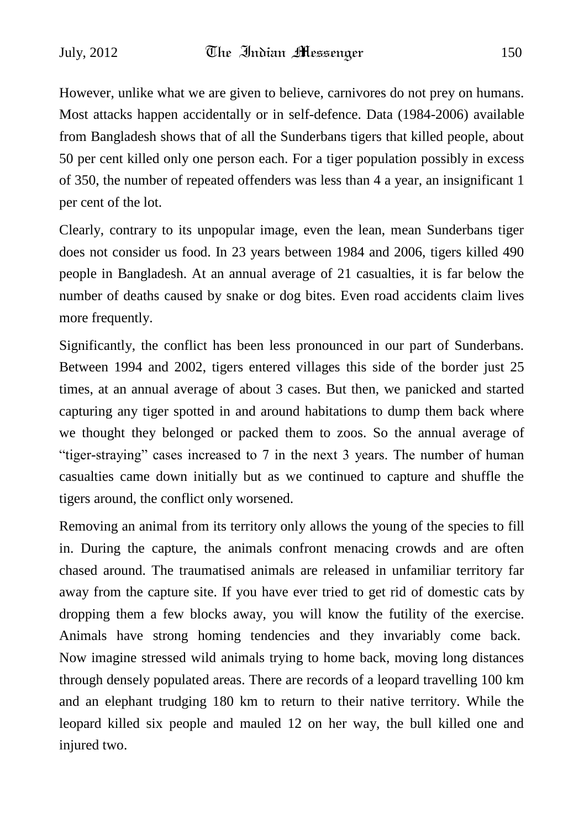However, unlike what we are given to believe, carnivores do not prey on humans. Most attacks happen accidentally or in self-defence. Data (1984-2006) available from Bangladesh shows that of all the Sunderbans tigers that killed people, about 50 per cent killed only one person each. For a tiger population possibly in excess of 350, the number of repeated offenders was less than 4 a year, an insignificant 1 per cent of the lot.

Clearly, contrary to its unpopular image, even the lean, mean Sunderbans tiger does not consider us food. In 23 years between 1984 and 2006, tigers killed 490 people in Bangladesh. At an annual average of 21 casualties, it is far below the number of deaths caused by snake or dog bites. Even road accidents claim lives more frequently.

Significantly, the conflict has been less pronounced in our part of Sunderbans. Between 1994 and 2002, tigers entered villages this side of the border just 25 times, at an annual average of about 3 cases. But then, we panicked and started capturing any tiger spotted in and around habitations to dump them back where we thought they belonged or packed them to zoos. So the annual average of "tiger-straying" cases increased to 7 in the next 3 years. The number of human casualties came down initially but as we continued to capture and shuffle the tigers around, the conflict only worsened.

Removing an animal from its territory only allows the young of the species to fill in. During the capture, the animals confront menacing crowds and are often chased around. The traumatised animals are released in unfamiliar territory far away from the capture site. If you have ever tried to get rid of domestic cats by dropping them a few blocks away, you will know the futility of the exercise. Animals have strong homing tendencies and they invariably come back. Now imagine stressed wild animals trying to home back, moving long distances through densely populated areas. There are records of a leopard travelling 100 km and an elephant trudging 180 km to return to their native territory. While the leopard killed six people and mauled 12 on her way, the bull killed one and injured two.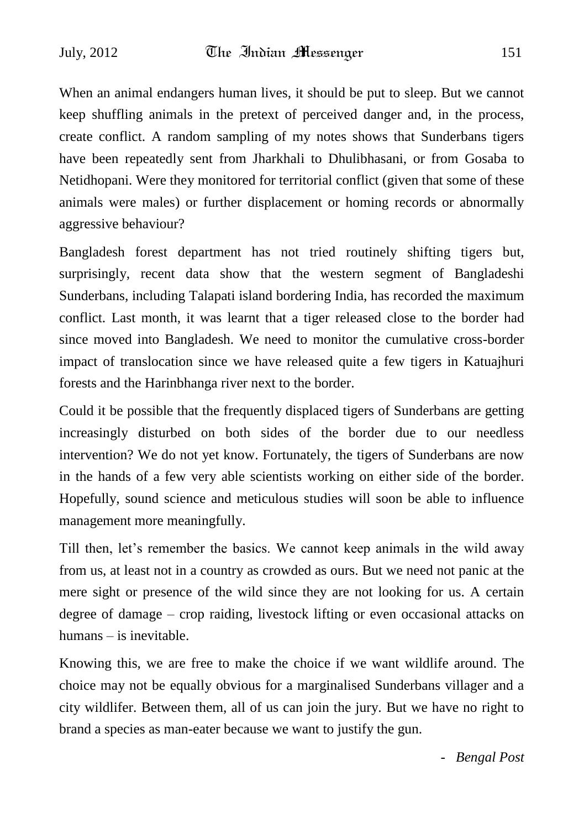When an animal endangers human lives, it should be put to sleep. But we cannot keep shuffling animals in the pretext of perceived danger and, in the process, create conflict. A random sampling of my notes shows that Sunderbans tigers have been repeatedly sent from Jharkhali to Dhulibhasani, or from Gosaba to Netidhopani. Were they monitored for territorial conflict (given that some of these animals were males) or further displacement or homing records or abnormally aggressive behaviour?

Bangladesh forest department has not tried routinely shifting tigers but, surprisingly, recent data show that the western segment of Bangladeshi Sunderbans, including Talapati island bordering India, has recorded the maximum conflict. Last month, it was learnt that a tiger released close to the border had since moved into Bangladesh. We need to monitor the cumulative cross-border impact of translocation since we have released quite a few tigers in Katuajhuri forests and the Harinbhanga river next to the border.

Could it be possible that the frequently displaced tigers of Sunderbans are getting increasingly disturbed on both sides of the border due to our needless intervention? We do not yet know. Fortunately, the tigers of Sunderbans are now in the hands of a few very able scientists working on either side of the border. Hopefully, sound science and meticulous studies will soon be able to influence management more meaningfully.

Till then, let"s remember the basics. We cannot keep animals in the wild away from us, at least not in a country as crowded as ours. But we need not panic at the mere sight or presence of the wild since they are not looking for us. A certain degree of damage – crop raiding, livestock lifting or even occasional attacks on humans – is inevitable.

Knowing this, we are free to make the choice if we want wildlife around. The choice may not be equally obvious for a marginalised Sunderbans villager and a city wildlifer. Between them, all of us can join the jury. But we have no right to brand a species as man-eater because we want to justify the gun.

 *- Bengal Post*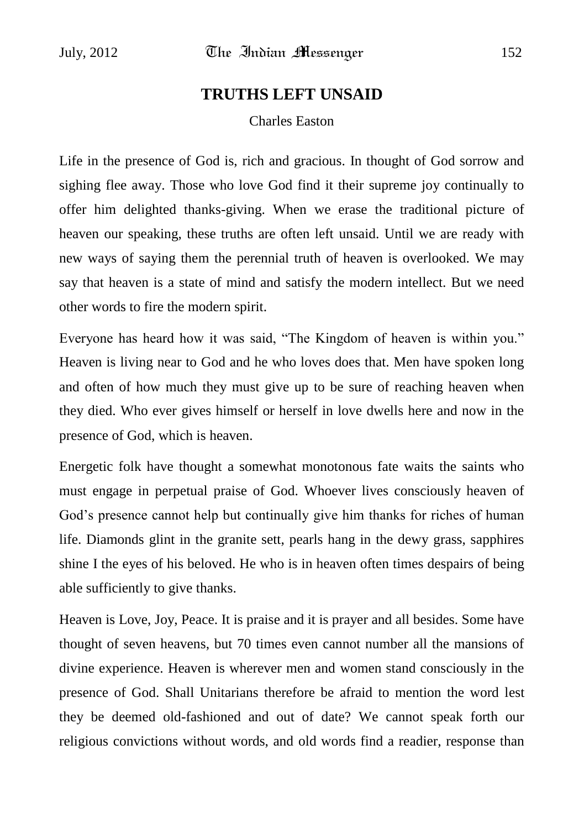## **TRUTHS LEFT UNSAID**

Charles Easton

Life in the presence of God is, rich and gracious. In thought of God sorrow and sighing flee away. Those who love God find it their supreme joy continually to offer him delighted thanks-giving. When we erase the traditional picture of heaven our speaking, these truths are often left unsaid. Until we are ready with new ways of saying them the perennial truth of heaven is overlooked. We may say that heaven is a state of mind and satisfy the modern intellect. But we need other words to fire the modern spirit.

Everyone has heard how it was said, "The Kingdom of heaven is within you." Heaven is living near to God and he who loves does that. Men have spoken long and often of how much they must give up to be sure of reaching heaven when they died. Who ever gives himself or herself in love dwells here and now in the presence of God, which is heaven.

Energetic folk have thought a somewhat monotonous fate waits the saints who must engage in perpetual praise of God. Whoever lives consciously heaven of God's presence cannot help but continually give him thanks for riches of human life. Diamonds glint in the granite sett, pearls hang in the dewy grass, sapphires shine I the eyes of his beloved. He who is in heaven often times despairs of being able sufficiently to give thanks.

Heaven is Love, Joy, Peace. It is praise and it is prayer and all besides. Some have thought of seven heavens, but 70 times even cannot number all the mansions of divine experience. Heaven is wherever men and women stand consciously in the presence of God. Shall Unitarians therefore be afraid to mention the word lest they be deemed old-fashioned and out of date? We cannot speak forth our religious convictions without words, and old words find a readier, response than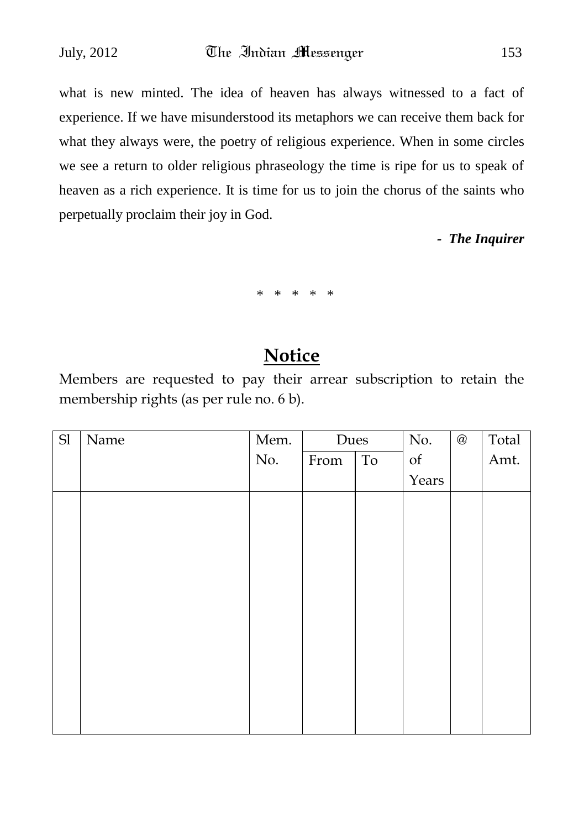what is new minted. The idea of heaven has always witnessed to a fact of experience. If we have misunderstood its metaphors we can receive them back for what they always were, the poetry of religious experience. When in some circles we see a return to older religious phraseology the time is ripe for us to speak of heaven as a rich experience. It is time for us to join the chorus of the saints who perpetually proclaim their joy in God.

*- The Inquirer*

\* \* \* \* \*

## **Notice**

Members are requested to pay their arrear subscription to retain the membership rights (as per rule no. 6 b).

| $\operatorname{Sl}$ | Name | Mem. | Dues |    | No.   | $^\text{\textregistered}$ | Total |
|---------------------|------|------|------|----|-------|---------------------------|-------|
|                     |      | No.  | From | To | of    |                           | Amt.  |
|                     |      |      |      |    | Years |                           |       |
|                     |      |      |      |    |       |                           |       |
|                     |      |      |      |    |       |                           |       |
|                     |      |      |      |    |       |                           |       |
|                     |      |      |      |    |       |                           |       |
|                     |      |      |      |    |       |                           |       |
|                     |      |      |      |    |       |                           |       |
|                     |      |      |      |    |       |                           |       |
|                     |      |      |      |    |       |                           |       |
|                     |      |      |      |    |       |                           |       |
|                     |      |      |      |    |       |                           |       |
|                     |      |      |      |    |       |                           |       |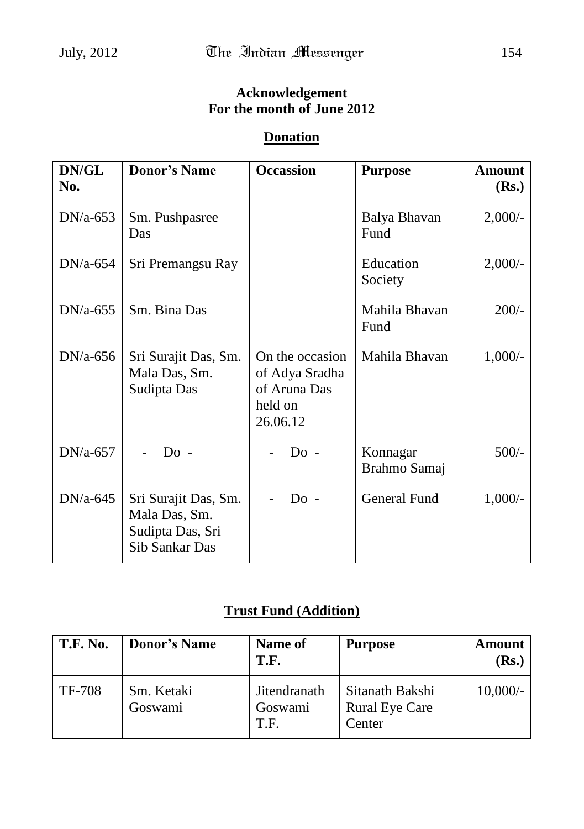## **Acknowledgement For the month of June 2012**

### **Donation**

| DN/GL<br>No. | <b>Donor's Name</b>                                                         | <b>Occassion</b>                                                         | <b>Purpose</b>           | Amount<br>(Rs.) |
|--------------|-----------------------------------------------------------------------------|--------------------------------------------------------------------------|--------------------------|-----------------|
| $DN/a-653$   | Sm. Pushpasree<br>Das                                                       |                                                                          | Balya Bhavan<br>Fund     | $2,000/$ -      |
| $DN/a-654$   | Sri Premangsu Ray                                                           |                                                                          | Education<br>Society     | 2,000/          |
| $DN/a-655$   | Sm. Bina Das                                                                |                                                                          | Mahila Bhavan<br>Fund    | $200/-$         |
| $DN/a-656$   | Sri Surajit Das, Sm.<br>Mala Das, Sm.<br>Sudipta Das                        | On the occasion<br>of Adya Sradha<br>of Aruna Das<br>held on<br>26.06.12 | Mahila Bhavan            | $1,000/-$       |
| $DN/a-657$   | $Do -$                                                                      | $Do -$                                                                   | Konnagar<br>Brahmo Samaj | $500/-$         |
| $DN/a-645$   | Sri Surajit Das, Sm.<br>Mala Das, Sm.<br>Sudipta Das, Sri<br>Sib Sankar Das | $Do -$                                                                   | General Fund             | $1,000/-$       |

## **Trust Fund (Addition)**

| <b>T.F. No.</b> | <b>Donor's Name</b>   | Name of<br>T.F.                 | <b>Purpose</b>                                     | <b>Amount</b><br>(Rs.) |
|-----------------|-----------------------|---------------------------------|----------------------------------------------------|------------------------|
| TF-708          | Sm. Ketaki<br>Goswami | Jitendranath<br>Goswami<br>T.F. | Sitanath Bakshi<br><b>Rural Eye Care</b><br>Center | $10,000/-$             |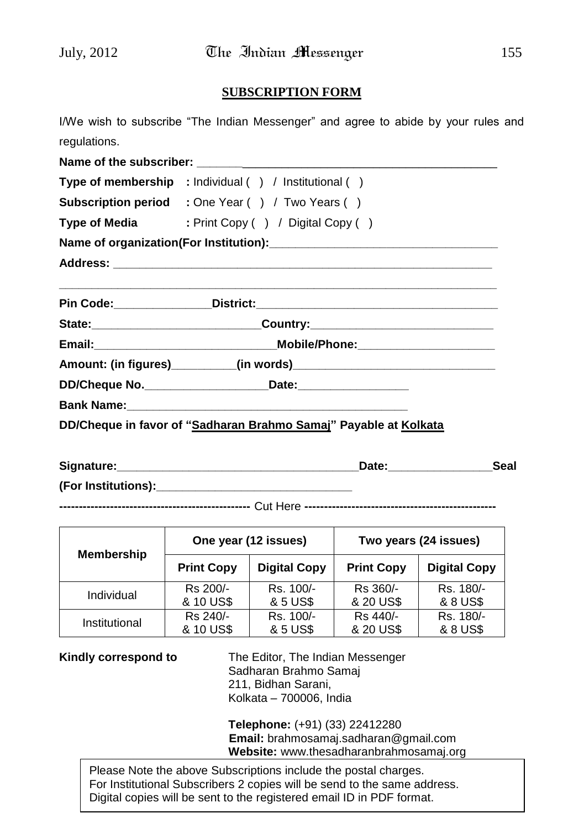#### **SUBSCRIPTION FORM**

|              | I/We wish to subscribe "The Indian Messenger" and agree to abide by your rules and |  |
|--------------|------------------------------------------------------------------------------------|--|
| regulations. |                                                                                    |  |
|              |                                                                                    |  |
|              | Type of membership : Individual () / Institutional ()                              |  |
|              | <b>Subscription period</b> : One Year () / Two Years ()                            |  |
|              | Type of Media : Print Copy () / Digital Copy ()                                    |  |
|              |                                                                                    |  |
|              |                                                                                    |  |
|              |                                                                                    |  |
|              | State: _________________________________Country: _______________________________   |  |
|              |                                                                                    |  |
|              |                                                                                    |  |
|              | DD/Cheque No. ______________________________Date:_______________________________   |  |
|              |                                                                                    |  |
|              | DD/Cheque in favor of "Sadharan Brahmo Samaj" Payable at Kolkata                   |  |
|              |                                                                                    |  |

| Signature:          | ieal |
|---------------------|------|
| (For Institutions): |      |

**-------------------------------------------------** Cut Here **-------------------------------------------------**

| <b>Membership</b> | One year (12 issues) |                     | Two years (24 issues) |                     |  |
|-------------------|----------------------|---------------------|-----------------------|---------------------|--|
|                   | <b>Print Copy</b>    | <b>Digital Copy</b> | <b>Print Copy</b>     | <b>Digital Copy</b> |  |
| Individual        | Rs 200/-             | Rs. 100/-           | Rs 360/-              | Rs. 180/-           |  |
|                   | & 10 US\$            | & 5 US\$            | & 20 US\$             | & 8 US\$            |  |
| Institutional     | Rs 240/-             | Rs. 100/-           | Rs 440/-              | Rs. 180/-           |  |
|                   | & 10 US\$            | & 5 US\$            | & 20 US\$             | & 8 US\$            |  |

**Kindly correspond to** The Editor, The Indian Messenger Sadharan Brahmo Samaj 211, Bidhan Sarani, Kolkata – 700006, India

> **Telephone:** (+91) (33) 22412280 **Email:** brahmosamaj.sadharan@gmail.com **Website:** www.thesadharanbrahmosamaj.org

Please Note the above Subscriptions include the postal charges. For Institutional Subscribers 2 copies will be send to the same address. Digital copies will be sent to the registered email ID in PDF format.